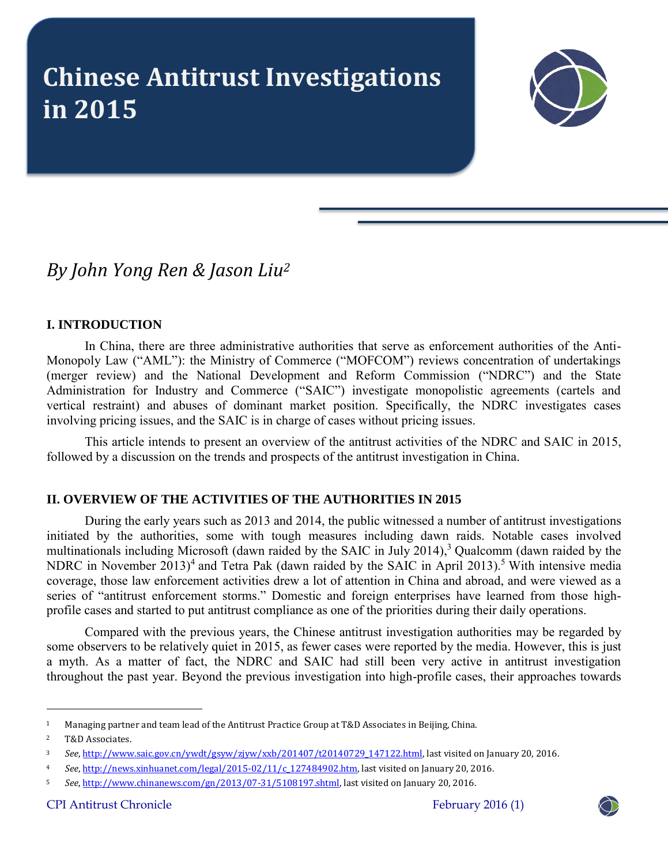# **Chinese Antitrust Investigations in 2015**



*By John Yong Ren & Jason Liu<sup>2</sup>*

# **I. INTRODUCTION**

In China, there are three administrative authorities that serve as enforcement authorities of the Anti-Monopoly Law ("AML"): the Ministry of Commerce ("MOFCOM") reviews concentration of undertakings (merger review) and the National Development and Reform Commission ("NDRC") and the State Administration for Industry and Commerce ("SAIC") investigate monopolistic agreements (cartels and vertical restraint) and abuses of dominant market position. Specifically, the NDRC investigates cases involving pricing issues, and the SAIC is in charge of cases without pricing issues.

This article intends to present an overview of the antitrust activities of the NDRC and SAIC in 2015, followed by a discussion on the trends and prospects of the antitrust investigation in China.

## **II. OVERVIEW OF THE ACTIVITIES OF THE AUTHORITIES IN 2015**

During the early years such as 2013 and 2014, the public witnessed a number of antitrust investigations initiated by the authorities, some with tough measures including dawn raids. Notable cases involved multinationals including Microsoft (dawn raided by the SAIC in July 2014),<sup>3</sup> Qualcomm (dawn raided by the NDRC in November 2013)<sup>4</sup> and Tetra Pak (dawn raided by the SAIC in April 2013).<sup>5</sup> With intensive media coverage, those law enforcement activities drew a lot of attention in China and abroad, and were viewed as a series of "antitrust enforcement storms." Domestic and foreign enterprises have learned from those highprofile cases and started to put antitrust compliance as one of the priorities during their daily operations.

Compared with the previous years, the Chinese antitrust investigation authorities may be regarded by some observers to be relatively quiet in 2015, as fewer cases were reported by the media. However, this is just a myth. As a matter of fact, the NDRC and SAIC had still been very active in antitrust investigation throughout the past year. Beyond the previous investigation into high-profile cases, their approaches towards

 $\overline{a}$ 



<sup>1</sup> Managing partner and team lead of the Antitrust Practice Group at T&D Associates in Beijing, China.

<sup>2</sup> T&D Associates.

<sup>3</sup> *See*[, http://www.saic.gov.cn/ywdt/gsyw/zjyw/xxb/201407/t20140729\\_147122.html,](http://www.saic.gov.cn/ywdt/gsyw/zjyw/xxb/201407/t20140729_147122.html) last visited on January 20, 2016.

<sup>4</sup> *See*[, http://news.xinhuanet.com/legal/2015-02/11/c\\_127484902.htm,](http://news.xinhuanet.com/legal/2015-02/11/c_127484902.htm) last visited on January 20, 2016.

<sup>5</sup> *See*[, http://www.chinanews.com/gn/2013/07-31/5108197.shtml,](http://www.chinanews.com/gn/2013/07-31/5108197.shtml) last visited on January 20, 2016.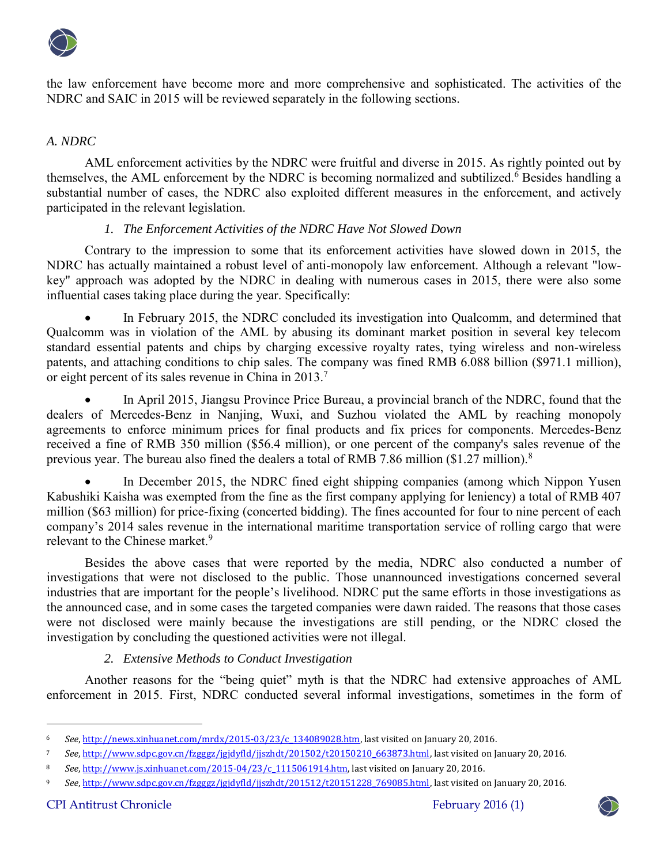

the law enforcement have become more and more comprehensive and sophisticated. The activities of the NDRC and SAIC in 2015 will be reviewed separately in the following sections.

### *A. NDRC*

AML enforcement activities by the NDRC were fruitful and diverse in 2015. As rightly pointed out by themselves, the AML enforcement by the NDRC is becoming normalized and subtilized.<sup>6</sup> Besides handling a substantial number of cases, the NDRC also exploited different measures in the enforcement, and actively participated in the relevant legislation.

## *1. The Enforcement Activities of the NDRC Have Not Slowed Down*

Contrary to the impression to some that its enforcement activities have slowed down in 2015, the NDRC has actually maintained a robust level of anti-monopoly law enforcement. Although a relevant "lowkey" approach was adopted by the NDRC in dealing with numerous cases in 2015, there were also some influential cases taking place during the year. Specifically:

 In February 2015, the NDRC concluded its investigation into Qualcomm, and determined that Qualcomm was in violation of the AML by abusing its dominant market position in several key telecom standard essential patents and chips by charging excessive royalty rates, tying wireless and non-wireless patents, and attaching conditions to chip sales. The company was fined RMB 6.088 billion (\$971.1 million), or eight percent of its sales revenue in China in 2013.<sup>7</sup>

 In April 2015, Jiangsu Province Price Bureau, a provincial branch of the NDRC, found that the dealers of Mercedes-Benz in Nanjing, Wuxi, and Suzhou violated the AML by reaching monopoly agreements to enforce minimum prices for final products and fix prices for components. Mercedes-Benz received a fine of RMB 350 million (\$56.4 million), or one percent of the company's sales revenue of the previous year. The bureau also fined the dealers a total of RMB 7.86 million (\$1.27 million).<sup>8</sup>

 In December 2015, the NDRC fined eight shipping companies (among which Nippon Yusen Kabushiki Kaisha was exempted from the fine as the first company applying for leniency) a total of RMB 407 million (\$63 million) for price-fixing (concerted bidding). The fines accounted for four to nine percent of each company's 2014 sales revenue in the international maritime transportation service of rolling cargo that were relevant to the Chinese market.<sup>9</sup>

Besides the above cases that were reported by the media, NDRC also conducted a number of investigations that were not disclosed to the public. Those unannounced investigations concerned several industries that are important for the people's livelihood. NDRC put the same efforts in those investigations as the announced case, and in some cases the targeted companies were dawn raided. The reasons that those cases were not disclosed were mainly because the investigations are still pending, or the NDRC closed the investigation by concluding the questioned activities were not illegal.

## *2. Extensive Methods to Conduct Investigation*

Another reasons for the "being quiet" myth is that the NDRC had extensive approaches of AML enforcement in 2015. First, NDRC conducted several informal investigations, sometimes in the form of

 $\ddot{\phantom{a}}$ 



<sup>6</sup> *See*[, http://news.xinhuanet.com/mrdx/2015-03/23/c\\_134089028.htm,](http://news.xinhuanet.com/mrdx/2015-03/23/c_134089028.htm) last visited on January 20, 2016.

<sup>7</sup> *See*[, http://www.sdpc.gov.cn/fzgggz/jgjdyfld/jjszhdt/201502/t20150210\\_663873.html,](http://www.sdpc.gov.cn/fzgggz/jgjdyfld/jjszhdt/201502/t20150210_663873.html) last visited on January 20, 2016.

<sup>8</sup> *See*[, http://www.js.xinhuanet.com/2015-04/23/c\\_1115061914.htm,](http://www.js.xinhuanet.com/2015-04/23/c_1115061914.htm) last visited on January 20, 2016.

<sup>9</sup> *See*[, http://www.sdpc.gov.cn/fzgggz/jgjdyfld/jjszhdt/201512/t20151228\\_769085.html,](http://www.sdpc.gov.cn/fzgggz/jgjdyfld/jjszhdt/201512/t20151228_769085.html) last visited on January 20, 2016.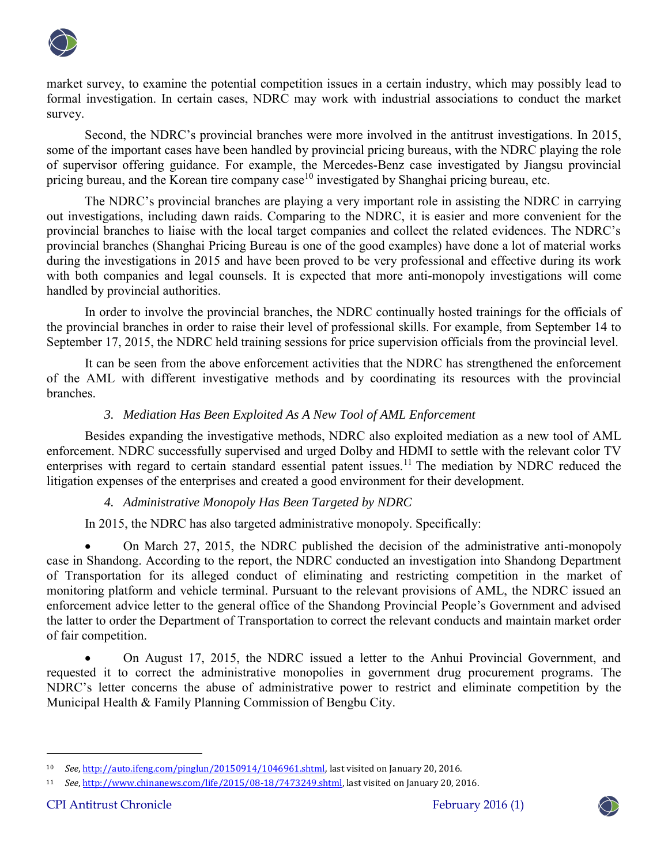

market survey, to examine the potential competition issues in a certain industry, which may possibly lead to formal investigation. In certain cases, NDRC may work with industrial associations to conduct the market survey.

Second, the NDRC's provincial branches were more involved in the antitrust investigations. In 2015, some of the important cases have been handled by provincial pricing bureaus, with the NDRC playing the role of supervisor offering guidance. For example, the Mercedes-Benz case investigated by Jiangsu provincial pricing bureau, and the Korean tire company case<sup>10</sup> investigated by Shanghai pricing bureau, etc.

<span id="page-2-0"></span>The NDRC's provincial branches are playing a very important role in assisting the NDRC in carrying out investigations, including dawn raids. Comparing to the NDRC, it is easier and more convenient for the provincial branches to liaise with the local target companies and collect the related evidences. The NDRC's provincial branches (Shanghai Pricing Bureau is one of the good examples) have done a lot of material works during the investigations in 2015 and have been proved to be very professional and effective during its work with both companies and legal counsels. It is expected that more anti-monopoly investigations will come handled by provincial authorities.

In order to involve the provincial branches, the NDRC continually hosted trainings for the officials of the provincial branches in order to raise their level of professional skills. For example, from September 14 to September 17, 2015, the NDRC held training sessions for price supervision officials from the provincial level.

It can be seen from the above enforcement activities that the NDRC has strengthened the enforcement of the AML with different investigative methods and by coordinating its resources with the provincial branches.

# *3. Mediation Has Been Exploited As A New Tool of AML Enforcement*

Besides expanding the investigative methods, NDRC also exploited mediation as a new tool of AML enforcement. NDRC successfully supervised and urged Dolby and HDMI to settle with the relevant color TV enterprises with regard to certain standard essential patent issues.<sup>11</sup> The mediation by NDRC reduced the litigation expenses of the enterprises and created a good environment for their development.

## *4. Administrative Monopoly Has Been Targeted by NDRC*

In 2015, the NDRC has also targeted administrative monopoly. Specifically:

 On March 27, 2015, the NDRC published the decision of the administrative anti-monopoly case in Shandong. According to the report, the NDRC conducted an investigation into Shandong Department of Transportation for its alleged conduct of eliminating and restricting competition in the market of monitoring platform and vehicle terminal. Pursuant to the relevant provisions of AML, the NDRC issued an enforcement advice letter to the general office of the Shandong Provincial People's Government and advised the latter to order the Department of Transportation to correct the relevant conducts and maintain market order of fair competition.

 On August 17, 2015, the NDRC issued a letter to the Anhui Provincial Government, and requested it to correct the administrative monopolies in government drug procurement programs. The NDRC's letter concerns the abuse of administrative power to restrict and eliminate competition by the Municipal Health & Family Planning Commission of Bengbu City.

 $\ddot{\phantom{a}}$ 



<sup>10</sup> *See*[, http://auto.ifeng.com/pinglun/20150914/1046961.shtml,](http://auto.ifeng.com/pinglun/20150914/1046961.shtml) last visited on January 20, 2016.

<sup>11</sup> *See*[, http://www.chinanews.com/life/2015/08-18/7473249.shtml,](http://www.chinanews.com/life/2015/08-18/7473249.shtml) last visited on January 20, 2016.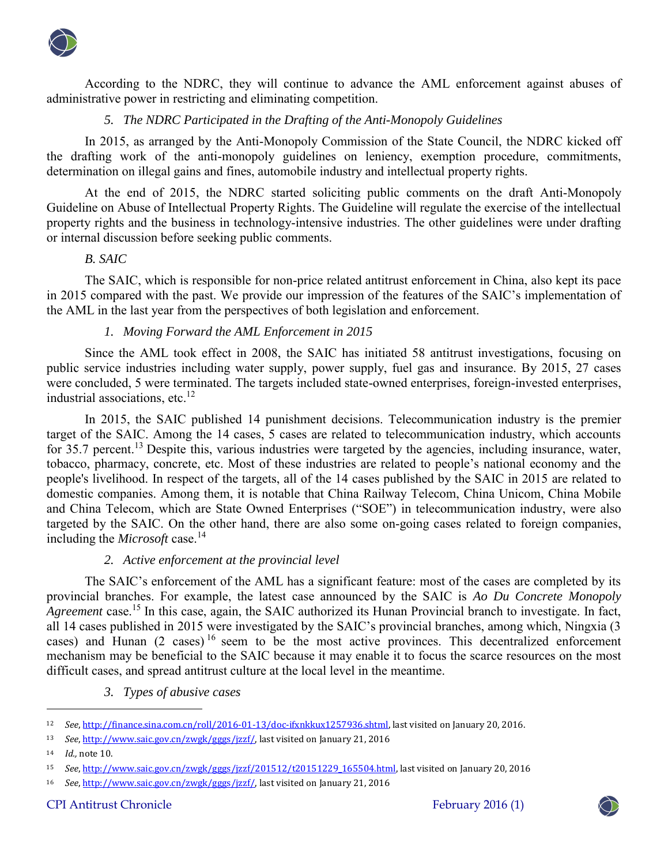

According to the NDRC, they will continue to advance the AML enforcement against abuses of administrative power in restricting and eliminating competition.

### *5. The NDRC Participated in the Drafting of the Anti-Monopoly Guidelines*

In 2015, as arranged by the Anti-Monopoly Commission of the State Council, the NDRC kicked off the drafting work of the anti-monopoly guidelines on leniency, exemption procedure, commitments, determination on illegal gains and fines, automobile industry and intellectual property rights.

At the end of 2015, the NDRC started soliciting public comments on the draft Anti-Monopoly Guideline on Abuse of Intellectual Property Rights. The Guideline will regulate the exercise of the intellectual property rights and the business in technology-intensive industries. The other guidelines were under drafting or internal discussion before seeking public comments.

#### *B. SAIC*

The SAIC, which is responsible for non-price related antitrust enforcement in China, also kept its pace in 2015 compared with the past. We provide our impression of the features of the SAIC's implementation of the AML in the last year from the perspectives of both legislation and enforcement.

## *1. Moving Forward the AML Enforcement in 2015*

Since the AML took effect in 2008, the SAIC has initiated 58 antitrust investigations, focusing on public service industries including water supply, power supply, fuel gas and insurance. By 2015, 27 cases were concluded, 5 were terminated. The targets included state-owned enterprises, foreign-invested enterprises, industrial associations, etc. $12$ 

In 2015, the SAIC published 14 punishment decisions. Telecommunication industry is the premier target of the SAIC. Among the 14 cases, 5 cases are related to telecommunication industry, which accounts for 35.7 percent.<sup>13</sup> Despite this, various industries were targeted by the agencies, including insurance, water, tobacco, pharmacy, concrete, etc. Most of these industries are related to people's national economy and the people's livelihood. In respect of the targets, all of the 14 cases published by the SAIC in 2015 are related to domestic companies. Among them, it is notable that China Railway Telecom, China Unicom, China Mobile and China Telecom, which are State Owned Enterprises ("SOE") in telecommunication industry, were also targeted by the SAIC. On the other hand, there are also some on-going cases related to foreign companies, including the *Microsoft* case.<sup>14</sup>

#### *2. Active enforcement at the provincial level*

The SAIC's enforcement of the AML has a significant feature: most of the cases are completed by its provincial branches. For example, the latest case announced by the SAIC is *Ao Du Concrete Monopoly Agreement* case.<sup>15</sup> In this case, again, the SAIC authorized its Hunan Provincial branch to investigate. In fact, all 14 cases published in 2015 were investigated by the SAIC's provincial branches, among which, Ningxia (3 cases) and Hunan (2 cases) <sup>16</sup> seem to be the most active provinces. This decentralized enforcement mechanism may be beneficial to the SAIC because it may enable it to focus the scarce resources on the most difficult cases, and spread antitrust culture at the local level in the meantime.

#### *3. Types of abusive cases*

 $\overline{a}$ 



<sup>12</sup> *See*[, http://finance.sina.com.cn/roll/2016-01-13/doc-ifxnkkux1257936.shtml,](http://finance.sina.com.cn/roll/2016-01-13/doc-ifxnkkux1257936.shtml) last visited on January 20, 2016.

<sup>13</sup> *See*[, http://www.saic.gov.cn/zwgk/gggs/jzzf/,](http://www.saic.gov.cn/zwgk/gggs/jzzf/) last visited on January 21, 2016

<sup>14</sup> *Id.,* not[e 10.](#page-2-0) 

<sup>15</sup> *See*[, http://www.saic.gov.cn/zwgk/gggs/jzzf/201512/t20151229\\_165504.html,](http://www.saic.gov.cn/zwgk/gggs/jzzf/201512/t20151229_165504.html) last visited on January 20, 2016

<sup>16</sup> *See*[, http://www.saic.gov.cn/zwgk/gggs/jzzf/,](http://www.saic.gov.cn/zwgk/gggs/jzzf/) last visited on January 21, 2016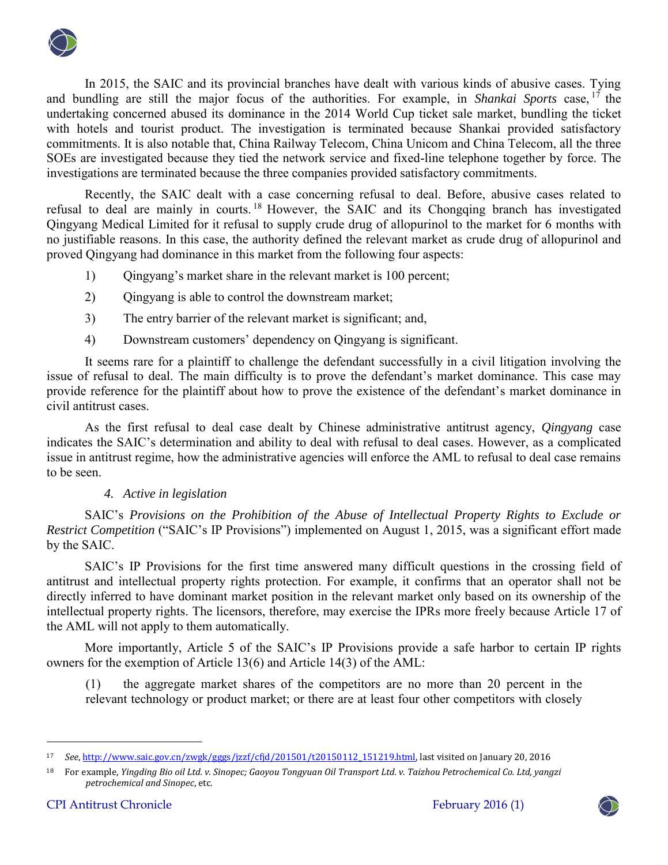

In 2015, the SAIC and its provincial branches have dealt with various kinds of abusive cases. Tying and bundling are still the major focus of the authorities. For example, in *Shankai Sports* case, <sup>17</sup> the undertaking concerned abused its dominance in the 2014 World Cup ticket sale market, bundling the ticket with hotels and tourist product. The investigation is terminated because Shankai provided satisfactory commitments. It is also notable that, China Railway Telecom, China Unicom and China Telecom, all the three SOEs are investigated because they tied the network service and fixed-line telephone together by force. The investigations are terminated because the three companies provided satisfactory commitments.

Recently, the SAIC dealt with a case concerning refusal to deal. Before, abusive cases related to refusal to deal are mainly in courts. <sup>18</sup> However, the SAIC and its Chongqing branch has investigated Qingyang Medical Limited for it refusal to supply crude drug of allopurinol to the market for 6 months with no justifiable reasons. In this case, the authority defined the relevant market as crude drug of allopurinol and proved Qingyang had dominance in this market from the following four aspects:

- 1) Oingyang's market share in the relevant market is 100 percent;
- 2) Qingyang is able to control the downstream market;
- 3) The entry barrier of the relevant market is significant; and,
- 4) Downstream customers' dependency on Qingyang is significant.

It seems rare for a plaintiff to challenge the defendant successfully in a civil litigation involving the issue of refusal to deal. The main difficulty is to prove the defendant's market dominance. This case may provide reference for the plaintiff about how to prove the existence of the defendant's market dominance in civil antitrust cases.

As the first refusal to deal case dealt by Chinese administrative antitrust agency, *Qingyang* case indicates the SAIC's determination and ability to deal with refusal to deal cases. However, as a complicated issue in antitrust regime, how the administrative agencies will enforce the AML to refusal to deal case remains to be seen.

## *4. Active in legislation*

SAIC's *Provisions on the Prohibition of the Abuse of Intellectual Property Rights to Exclude or Restrict Competition* ("SAIC's IP Provisions") implemented on August 1, 2015, was a significant effort made by the SAIC.

SAIC's IP Provisions for the first time answered many difficult questions in the crossing field of antitrust and intellectual property rights protection. For example, it confirms that an operator shall not be directly inferred to have dominant market position in the relevant market only based on its ownership of the intellectual property rights. The licensors, therefore, may exercise the IPRs more freely because Article 17 of the AML will not apply to them automatically.

More importantly, Article 5 of the SAIC's IP Provisions provide a safe harbor to certain IP rights owners for the exemption of Article 13(6) and Article 14(3) of the AML:

(1) the aggregate market shares of the competitors are no more than 20 percent in the relevant technology or product market; or there are at least four other competitors with closely

 $\ddot{\phantom{a}}$ 



<sup>17</sup> *See*[, http://www.saic.gov.cn/zwgk/gggs/jzzf/cfjd/201501/t20150112\\_151219.html,](http://www.saic.gov.cn/zwgk/gggs/jzzf/cfjd/201501/t20150112_151219.html) last visited on January 20, 2016

<sup>18</sup> For example, *Yingding Bio oil Ltd. v. Sinopec; Gaoyou Tongyuan Oil Transport Ltd. v. Taizhou Petrochemical Co. Ltd, yangzi petrochemical and Sinopec*, etc.